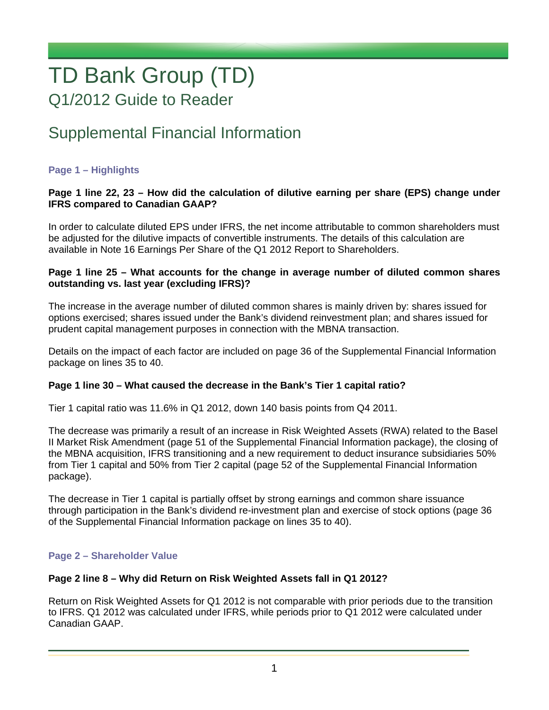# TD Bank Group (TD) Q1/2012 Guide to Reader

# Supplemental Financial Information

# **Page 1 – Highlights**

# **Page 1 line 22, 23 – How did the calculation of dilutive earning per share (EPS) change under IFRS compared to Canadian GAAP?**

In order to calculate diluted EPS under IFRS, the net income attributable to common shareholders must be adjusted for the dilutive impacts of convertible instruments. The details of this calculation are available in Note 16 Earnings Per Share of the Q1 2012 Report to Shareholders.

## **Page 1 line 25 – What accounts for the change in average number of diluted common shares outstanding vs. last year (excluding IFRS)?**

The increase in the average number of diluted common shares is mainly driven by: shares issued for options exercised; shares issued under the Bank's dividend reinvestment plan; and shares issued for prudent capital management purposes in connection with the MBNA transaction.

Details on the impact of each factor are included on page 36 of the Supplemental Financial Information package on lines 35 to 40.

# **Page 1 line 30 – What caused the decrease in the Bank's Tier 1 capital ratio?**

Tier 1 capital ratio was 11.6% in Q1 2012, down 140 basis points from Q4 2011.

The decrease was primarily a result of an increase in Risk Weighted Assets (RWA) related to the Basel II Market Risk Amendment (page 51 of the Supplemental Financial Information package), the closing of the MBNA acquisition, IFRS transitioning and a new requirement to deduct insurance subsidiaries 50% from Tier 1 capital and 50% from Tier 2 capital (page 52 of the Supplemental Financial Information package).

The decrease in Tier 1 capital is partially offset by strong earnings and common share issuance through participation in the Bank's dividend re-investment plan and exercise of stock options (page 36 of the Supplemental Financial Information package on lines 35 to 40).

#### **Page 2 – Shareholder Value**

#### **Page 2 line 8 – Why did Return on Risk Weighted Assets fall in Q1 2012?**

Return on Risk Weighted Assets for Q1 2012 is not comparable with prior periods due to the transition to IFRS. Q1 2012 was calculated under IFRS, while periods prior to Q1 2012 were calculated under Canadian GAAP.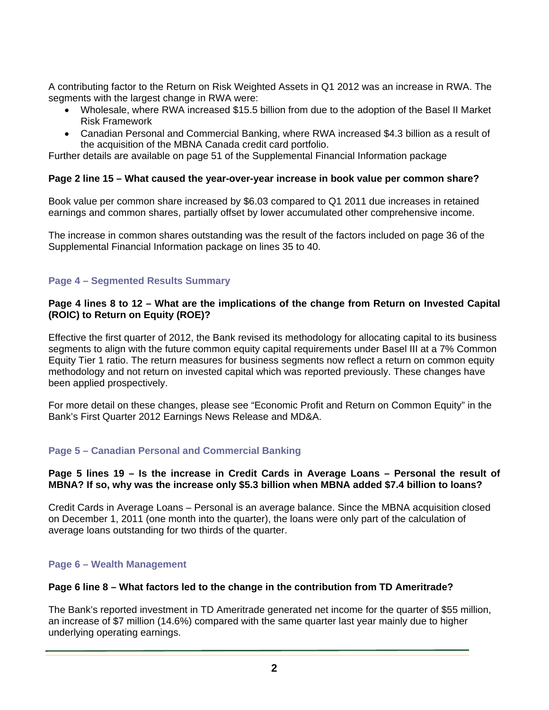A contributing factor to the Return on Risk Weighted Assets in Q1 2012 was an increase in RWA. The segments with the largest change in RWA were:

- Wholesale, where RWA increased \$15.5 billion from due to the adoption of the Basel II Market Risk Framework
- Canadian Personal and Commercial Banking, where RWA increased \$4.3 billion as a result of the acquisition of the MBNA Canada credit card portfolio.

Further details are available on page 51 of the Supplemental Financial Information package

#### **Page 2 line 15 – What caused the year-over-year increase in book value per common share?**

Book value per common share increased by \$6.03 compared to Q1 2011 due increases in retained earnings and common shares, partially offset by lower accumulated other comprehensive income.

The increase in common shares outstanding was the result of the factors included on page 36 of the Supplemental Financial Information package on lines 35 to 40.

# **Page 4 – Segmented Results Summary**

# **Page 4 lines 8 to 12 – What are the implications of the change from Return on Invested Capital (ROIC) to Return on Equity (ROE)?**

Effective the first quarter of 2012, the Bank revised its methodology for allocating capital to its business segments to align with the future common equity capital requirements under Basel III at a 7% Common Equity Tier 1 ratio. The return measures for business segments now reflect a return on common equity methodology and not return on invested capital which was reported previously. These changes have been applied prospectively.

For more detail on these changes, please see "Economic Profit and Return on Common Equity" in the Bank's First Quarter 2012 Earnings News Release and MD&A.

# **Page 5 – Canadian Personal and Commercial Banking**

#### **Page 5 lines 19 – Is the increase in Credit Cards in Average Loans – Personal the result of MBNA? If so, why was the increase only \$5.3 billion when MBNA added \$7.4 billion to loans?**

Credit Cards in Average Loans – Personal is an average balance. Since the MBNA acquisition closed on December 1, 2011 (one month into the quarter), the loans were only part of the calculation of average loans outstanding for two thirds of the quarter.

# **Page 6 – Wealth Management**

## **Page 6 line 8 – What factors led to the change in the contribution from TD Ameritrade?**

The Bank's reported investment in TD Ameritrade generated net income for the quarter of \$55 million, an increase of \$7 million (14.6%) compared with the same quarter last year mainly due to higher underlying operating earnings.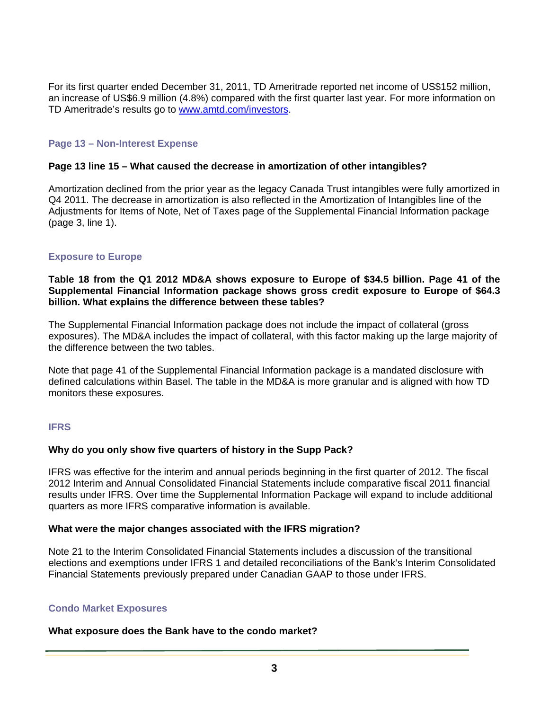For its first quarter ended December 31, 2011, TD Ameritrade reported net income of US\$152 million, an increase of US\$6.9 million (4.8%) compared with the first quarter last year. For more information on TD Ameritrade's results go to www.amtd.com/investors.

# **Page 13 – Non-Interest Expense**

## **Page 13 line 15 – What caused the decrease in amortization of other intangibles?**

Amortization declined from the prior year as the legacy Canada Trust intangibles were fully amortized in Q4 2011. The decrease in amortization is also reflected in the Amortization of Intangibles line of the Adjustments for Items of Note, Net of Taxes page of the Supplemental Financial Information package (page 3, line 1).

#### **Exposure to Europe**

**Table 18 from the Q1 2012 MD&A shows exposure to Europe of \$34.5 billion. Page 41 of the Supplemental Financial Information package shows gross credit exposure to Europe of \$64.3 billion. What explains the difference between these tables?** 

The Supplemental Financial Information package does not include the impact of collateral (gross exposures). The MD&A includes the impact of collateral, with this factor making up the large majority of the difference between the two tables.

Note that page 41 of the Supplemental Financial Information package is a mandated disclosure with defined calculations within Basel. The table in the MD&A is more granular and is aligned with how TD monitors these exposures.

#### **IFRS**

#### **Why do you only show five quarters of history in the Supp Pack?**

IFRS was effective for the interim and annual periods beginning in the first quarter of 2012. The fiscal 2012 Interim and Annual Consolidated Financial Statements include comparative fiscal 2011 financial results under IFRS. Over time the Supplemental Information Package will expand to include additional quarters as more IFRS comparative information is available.

#### **What were the major changes associated with the IFRS migration?**

Note 21 to the Interim Consolidated Financial Statements includes a discussion of the transitional elections and exemptions under IFRS 1 and detailed reconciliations of the Bank's Interim Consolidated Financial Statements previously prepared under Canadian GAAP to those under IFRS.

#### **Condo Market Exposures**

#### **What exposure does the Bank have to the condo market?**